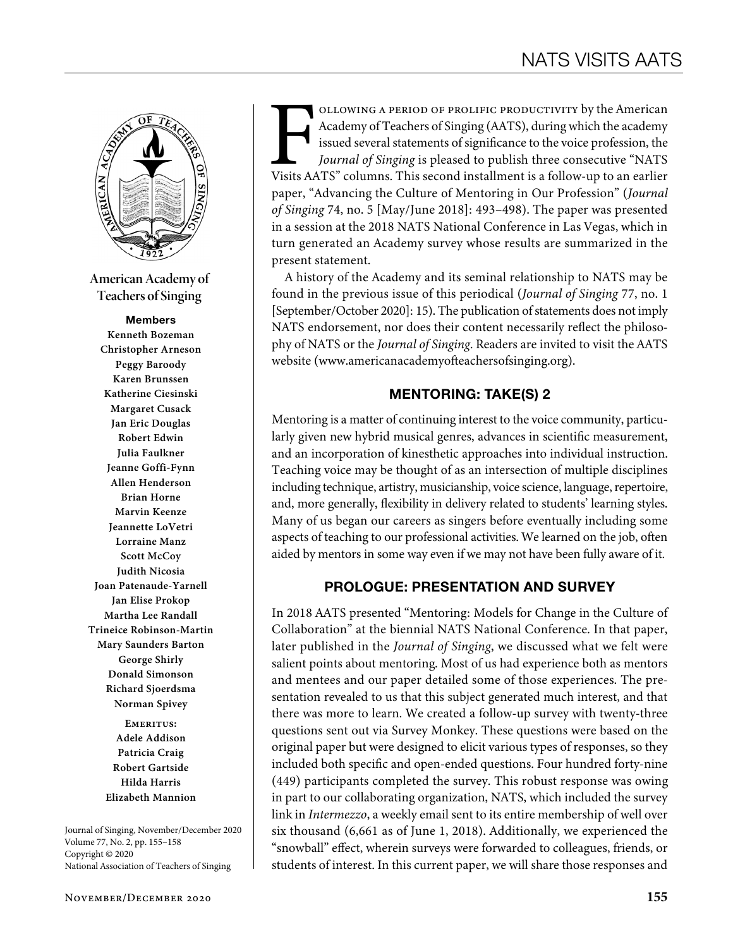

**American Academy of Teachers of Singing**

#### Members

**Kenneth Bozeman Christopher Arneson Peggy Baroody Karen Brunssen Katherine Ciesinski Margaret Cusack Jan Eric Douglas Robert Edwin Julia Faulkner Jeanne Goffi-Fynn Allen Henderson Brian Horne Marvin Keenze Jeannette LoVetri Lorraine Manz Scott McCoy Judith Nicosia Joan Patenaude-Yarnell Jan Elise Prokop Martha Lee Randall Trineice Robinson-Martin Mary Saunders Barton George Shirly Donald Simonson Richard Sjoerdsma Norman Spivey**

> **Emeritus: Adele Addison Patricia Craig Robert Gartside Hilda Harris Elizabeth Mannion**

Journal of Singing, November/December 2020 Volume 77, No. 2, pp. 155–158 Copyright © 2020 National Association of Teachers of Singing

FOLLOWING A PERIOD OF PROLIFIC PRODUCTIVITY by the American Academy of Teachers of Singing (AATS), during which the academy issued several statements of significance to the voice profession, the *Journal of Singing* is ple Academy of Teachers of Singing (AATS), during which the academy issued several statements of significance to the voice profession, the *Journal of Singing* is pleased to publish three consecutive "NATS paper, "Advancing the Culture of Mentoring in Our Profession" (*Journal of Singing* 74, no. 5 [May/June 2018]: 493–498). The paper was presented in a session at the 2018 NATS National Conference in Las Vegas, which in turn generated an Academy survey whose results are summarized in the present statement.

A history of the Academy and its seminal relationship to NATS may be found in the previous issue of this periodical (*Journal of Singing* 77, no. 1 [September/October 2020]: 15). The publication of statements does not imply NATS endorsement, nor does their content necessarily reflect the philosophy of NATS or the *Journal of Singing*. Readers are invited to visit the AATS website (www.americanacademyofteachersofsinging.org).

#### MENTORING: TAKE(S) 2

Mentoring is a matter of continuing interest to the voice community, particularly given new hybrid musical genres, advances in scientific measurement, and an incorporation of kinesthetic approaches into individual instruction. Teaching voice may be thought of as an intersection of multiple disciplines including technique, artistry, musicianship, voice science, language, repertoire, and, more generally, flexibility in delivery related to students' learning styles. Many of us began our careers as singers before eventually including some aspects of teaching to our professional activities. We learned on the job, often aided by mentors in some way even if we may not have been fully aware of it.

## PROLOGUE: PRESENTATION AND SURVEY

In 2018 AATS presented "Mentoring: Models for Change in the Culture of Collaboration" at the biennial NATS National Conference. In that paper, later published in the *Journal of Singing*, we discussed what we felt were salient points about mentoring. Most of us had experience both as mentors and mentees and our paper detailed some of those experiences. The presentation revealed to us that this subject generated much interest, and that there was more to learn. We created a follow-up survey with twenty-three questions sent out via Survey Monkey. These questions were based on the original paper but were designed to elicit various types of responses, so they included both specific and open-ended questions. Four hundred forty-nine (449) participants completed the survey. This robust response was owing in part to our collaborating organization, NATS, which included the survey link in *Intermezzo*, a weekly email sent to its entire membership of well over six thousand (6,661 as of June 1, 2018). Additionally, we experienced the "snowball" effect, wherein surveys were forwarded to colleagues, friends, or students of interest. In this current paper, we will share those responses and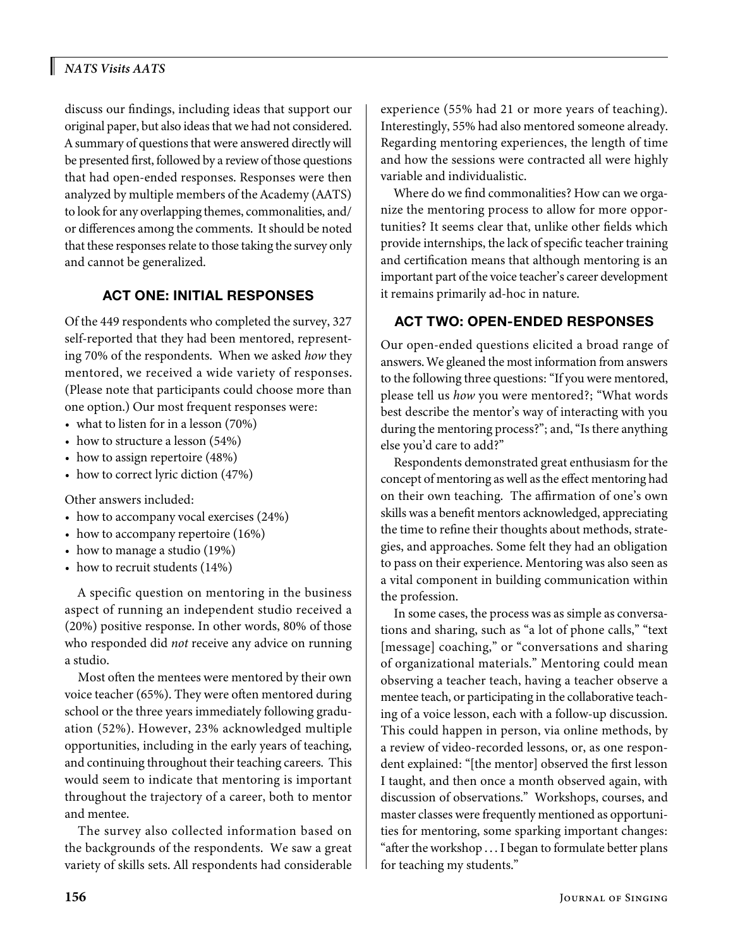## *NATS Visits AATS*

discuss our findings, including ideas that support our original paper, but also ideas that we had not considered. A summary of questions that were answered directly will be presented first, followed by a review of those questions that had open-ended responses. Responses were then analyzed by multiple members of the Academy (AATS) to look for any overlapping themes, commonalities, and/ or differences among the comments. It should be noted that these responses relate to those taking the survey only and cannot be generalized.

# ACT ONE: INITIAL RESPONSES

Of the 449 respondents who completed the survey, 327 self-reported that they had been mentored, representing 70% of the respondents. When we asked *how* they mentored, we received a wide variety of responses. (Please note that participants could choose more than one option.) Our most frequent responses were:

- what to listen for in a lesson (70%)
- how to structure a lesson (54%)
- how to assign repertoire (48%)
- how to correct lyric diction (47%)

Other answers included:

- how to accompany vocal exercises (24%)
- how to accompany repertoire (16%)
- how to manage a studio (19%)
- how to recruit students (14%)

A specific question on mentoring in the business aspect of running an independent studio received a (20%) positive response. In other words, 80% of those who responded did *not* receive any advice on running a studio.

Most often the mentees were mentored by their own voice teacher (65%). They were often mentored during school or the three years immediately following graduation (52%). However, 23% acknowledged multiple opportunities, including in the early years of teaching, and continuing throughout their teaching careers. This would seem to indicate that mentoring is important throughout the trajectory of a career, both to mentor and mentee.

The survey also collected information based on the backgrounds of the respondents. We saw a great variety of skills sets. All respondents had considerable experience (55% had 21 or more years of teaching). Interestingly, 55% had also mentored someone already. Regarding mentoring experiences, the length of time and how the sessions were contracted all were highly variable and individualistic.

Where do we find commonalities? How can we organize the mentoring process to allow for more opportunities? It seems clear that, unlike other fields which provide internships, the lack of specific teacher training and certification means that although mentoring is an important part of the voice teacher's career development it remains primarily ad-hoc in nature.

## ACT TWO: OPEN-ENDED RESPONSES

Our open-ended questions elicited a broad range of answers. We gleaned the most information from answers to the following three questions: "If you were mentored, please tell us *how* you were mentored?; "What words best describe the mentor's way of interacting with you during the mentoring process?"; and, "Is there anything else you'd care to add?"

Respondents demonstrated great enthusiasm for the concept of mentoring as well as the effect mentoring had on their own teaching. The affirmation of one's own skills was a benefit mentors acknowledged, appreciating the time to refine their thoughts about methods, strategies, and approaches. Some felt they had an obligation to pass on their experience. Mentoring was also seen as a vital component in building communication within the profession.

In some cases, the process was as simple as conversations and sharing, such as "a lot of phone calls," "text [message] coaching," or "conversations and sharing of organizational materials." Mentoring could mean observing a teacher teach, having a teacher observe a mentee teach, or participating in the collaborative teaching of a voice lesson, each with a follow-up discussion. This could happen in person, via online methods, by a review of video-recorded lessons, or, as one respondent explained: "[the mentor] observed the first lesson I taught, and then once a month observed again, with discussion of observations." Workshops, courses, and master classes were frequently mentioned as opportunities for mentoring, some sparking important changes: "after the workshop . . . I began to formulate better plans for teaching my students."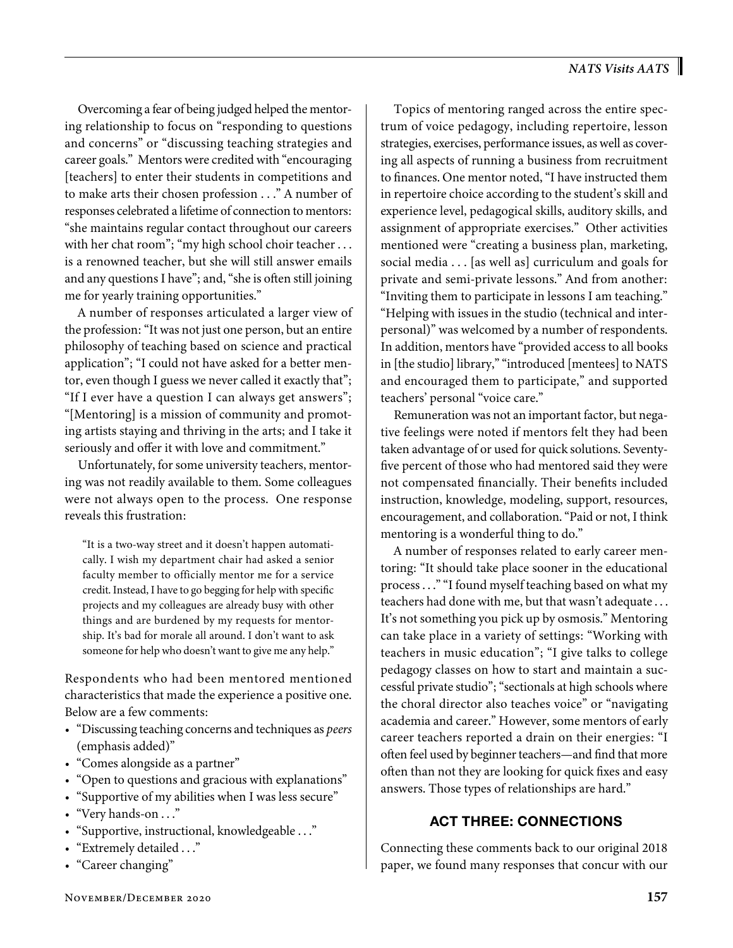Overcoming a fear of being judged helped the mentoring relationship to focus on "responding to questions and concerns" or "discussing teaching strategies and career goals." Mentors were credited with "encouraging [teachers] to enter their students in competitions and to make arts their chosen profession . . ." A number of responses celebrated a lifetime of connection to mentors: "she maintains regular contact throughout our careers with her chat room"; "my high school choir teacher ... is a renowned teacher, but she will still answer emails and any questions I have"; and, "she is often still joining me for yearly training opportunities."

A number of responses articulated a larger view of the profession: "It was not just one person, but an entire philosophy of teaching based on science and practical application"; "I could not have asked for a better mentor, even though I guess we never called it exactly that"; "If I ever have a question I can always get answers"; "[Mentoring] is a mission of community and promoting artists staying and thriving in the arts; and I take it seriously and offer it with love and commitment."

Unfortunately, for some university teachers, mentoring was not readily available to them. Some colleagues were not always open to the process. One response reveals this frustration:

"It is a two-way street and it doesn't happen automatically. I wish my department chair had asked a senior faculty member to officially mentor me for a service credit. Instead, I have to go begging for help with specific projects and my colleagues are already busy with other things and are burdened by my requests for mentorship. It's bad for morale all around. I don't want to ask someone for help who doesn't want to give me any help."

Respondents who had been mentored mentioned characteristics that made the experience a positive one. Below are a few comments:

- "Discussing teaching concerns and techniques as *peers* (emphasis added)"
- "Comes alongside as a partner"
- "Open to questions and gracious with explanations"
- "Supportive of my abilities when I was less secure"
- "Very hands-on . . ."
- "Supportive, instructional, knowledgeable . . ."
- "Extremely detailed . . ."
- "Career changing"

Topics of mentoring ranged across the entire spectrum of voice pedagogy, including repertoire, lesson strategies, exercises, performance issues, as well as covering all aspects of running a business from recruitment to finances. One mentor noted, "I have instructed them in repertoire choice according to the student's skill and experience level, pedagogical skills, auditory skills, and assignment of appropriate exercises." Other activities mentioned were "creating a business plan, marketing, social media . . . [as well as] curriculum and goals for private and semi-private lessons." And from another: "Inviting them to participate in lessons I am teaching." "Helping with issues in the studio (technical and interpersonal)" was welcomed by a number of respondents. In addition, mentors have "provided access to all books in [the studio] library," "introduced [mentees] to NATS and encouraged them to participate," and supported teachers' personal "voice care."

Remuneration was not an important factor, but negative feelings were noted if mentors felt they had been taken advantage of or used for quick solutions. Seventyfive percent of those who had mentored said they were not compensated financially. Their benefits included instruction, knowledge, modeling, support, resources, encouragement, and collaboration. "Paid or not, I think mentoring is a wonderful thing to do."

A number of responses related to early career mentoring: "It should take place sooner in the educational process . . ." "I found myself teaching based on what my teachers had done with me, but that wasn't adequate . . . It's not something you pick up by osmosis." Mentoring can take place in a variety of settings: "Working with teachers in music education"; "I give talks to college pedagogy classes on how to start and maintain a successful private studio"; "sectionals at high schools where the choral director also teaches voice" or "navigating academia and career." However, some mentors of early career teachers reported a drain on their energies: "I often feel used by beginner teachers—and find that more often than not they are looking for quick fixes and easy answers. Those types of relationships are hard."

## ACT THREE: CONNECTIONS

Connecting these comments back to our original 2018 paper, we found many responses that concur with our